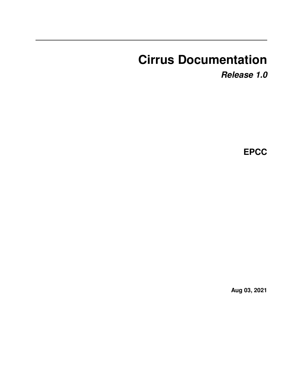# **Cirrus Documentation**

*Release 1.0*

**EPCC**

**Aug 03, 2021**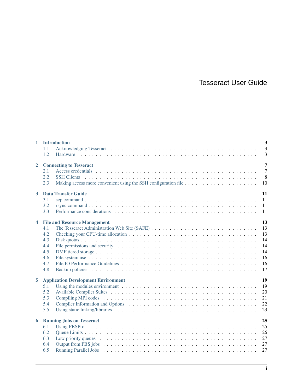# Tesseract User Guide

| $\mathbf{1}$            | <b>Introduction</b><br>1.1<br>1.2                                                           | $\overline{3}$<br>$\overline{3}$<br>$\overline{3}$ |
|-------------------------|---------------------------------------------------------------------------------------------|----------------------------------------------------|
| $\overline{2}$          | <b>Connecting to Tesseract</b><br>2.1<br>2.2<br><b>SSH Clients</b><br>2.3                   | $\overline{7}$<br>$\overline{7}$<br>8<br>10        |
| $\mathbf{3}$            | <b>Data Transfer Guide</b><br>3.1<br>3.2<br>3.3                                             | 11<br>11<br>11<br>11                               |
| $\overline{\mathbf{4}}$ | <b>File and Resource Management</b><br>4.1<br>4.2<br>4.3<br>4.4<br>4.5<br>4.6<br>4.7<br>4.8 | 13<br>13<br>13<br>14<br>14<br>14<br>16<br>16<br>17 |
| 5                       | <b>Application Development Environment</b><br>5.1<br>5.2<br>5.3<br>5.4<br>5.5               | 19<br>19<br>20<br>21<br>22<br>23                   |
| 6                       | <b>Running Jobs on Tesseract</b><br>6.1<br>6.2<br>6.3<br>6.4<br>6.5                         | 25<br>25<br>26<br>27<br>27<br>27                   |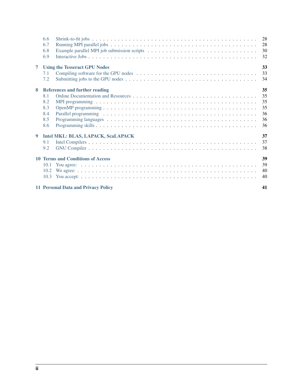|   | 6.6<br>6.7<br>6.8<br>6.9                  |                                          | 28<br>28<br>30<br>32 |  |  |  |  |  |
|---|-------------------------------------------|------------------------------------------|----------------------|--|--|--|--|--|
| 7 |                                           | <b>Using the Tesseract GPU Nodes</b>     | 33                   |  |  |  |  |  |
|   | 7.1                                       |                                          | 33                   |  |  |  |  |  |
|   | 7.2                                       |                                          | 34                   |  |  |  |  |  |
| 8 |                                           | <b>References and further reading</b>    | 35                   |  |  |  |  |  |
|   | 8.1                                       |                                          | 35                   |  |  |  |  |  |
|   | 8.2                                       |                                          | 35                   |  |  |  |  |  |
|   | 8.3                                       |                                          | 35                   |  |  |  |  |  |
|   | 8.4                                       |                                          | 36                   |  |  |  |  |  |
|   | 8.5                                       |                                          | 36                   |  |  |  |  |  |
|   | 8.6                                       |                                          | 36                   |  |  |  |  |  |
| 9 |                                           | Intel MKL: BLAS, LAPACK, ScaLAPACK       | 37                   |  |  |  |  |  |
|   | 9.1                                       |                                          | 37                   |  |  |  |  |  |
|   | 9.2                                       |                                          | 38                   |  |  |  |  |  |
|   |                                           | <b>10 Terms and Conditions of Access</b> | 39                   |  |  |  |  |  |
|   | 10.1                                      |                                          | 39                   |  |  |  |  |  |
|   | 10.2                                      |                                          | 40                   |  |  |  |  |  |
|   | 10.3                                      |                                          | 40                   |  |  |  |  |  |
|   | 11 Personal Data and Privacy Policy<br>41 |                                          |                      |  |  |  |  |  |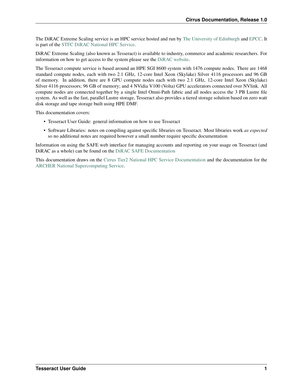The DiRAC Extreme Scaling service is an HPC service hosted and run by [The University of Edinburgh](http://www.ed.ac.uk) and [EPCC.](http://www.epcc.ed.ac.uk) It is part of the [STFC](http://www.stfc.ac.uk) [DiRAC National HPC Service.](http://www.dirac.ac.uk)

DiRAC Extreme Scaling (also known as Tesseract) is available to industry, commerce and academic researchers. For information on how to get access to the system please see the [DiRAC website.](http://www.dirac.ac.uk)

The Tesseract compute service is based around an HPE SGI 8600 system with 1476 compute nodes. There are 1468 standard compute nodes, each with two 2.1 GHz, 12-core Intel Xeon (Skylake) Silver 4116 processors and 96 GB of memory. In addition, there are 8 GPU compute nodes each with two 2.1 GHz, 12-core Intel Xeon (Skylake) Silver 4116 processors; 96 GB of memory; and 4 NVidia V100 (Volta) GPU accelerators connected over NVlink. All compute nodes are connected together by a single Intel Omni-Path fabric and all nodes access the 3 PB Lustre file system. As well as the fast, parallel Lustre storage, Tesseract also provides a tiered storage solution based on zero watt disk storage and tape storage built using HPE DMF.

This documentation covers:

- Tesseract User Guide: general information on how to use Tesseract
- Software Libraries: notes on compiling against specific libraries on Tesseract. Most libraries work *as expected* so no additional notes are required however a small number require specific documentation

Information on using the SAFE web interface for managing accounts and reporting on your usage on Tesseract (and DiRAC as a whole) can be found on the [DiRAC SAFE Documentation](http://dirac-safe.readthedocs.io)

This documentation draws on the [Cirrus Tier2 National HPC Service Documentation](http://cirrus.readthedocs.io) and the documentation for the [ARCHER National Supercomputing Service.](http://www.archer.ac.uk)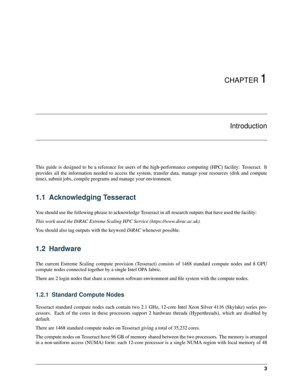# CHAPTER<sup>1</sup>

## Introduction

<span id="page-6-0"></span>This guide is designed to be a reference for users of the high-performance computing (HPC) facility: Tesseract. It provides all the information needed to access the system, transfer data, manage your resources (disk and compute time), submit jobs, compile programs and manage your environment.

## <span id="page-6-1"></span>**1.1 Acknowledging Tesseract**

You should use the following phrase to acknowledge Tesseract in all research outputs that have used the facility: *This work used the DiRAC Extreme Scaling HPC Service (https://www.dirac.ac.uk).* You should also tag outputs with the keyword *DiRAC* whenever possible.

## <span id="page-6-2"></span>**1.2 Hardware**

The current Extreme Scaling compute provision (Tesseract) consists of 1468 standard compute nodes and 8 GPU compute nodes connected together by a single Intel OPA fabric.

There are 2 login nodes that share a common software environment and file system with the compute nodes.

### **1.2.1 Standard Compute Nodes**

Tesseract standard compute nodes each contain two 2.1 GHz, 12-core Intel Xeon Silver 4116 (Skylake) series processors. Each of the cores in these processors support 2 hardware threads (Hyperthreads), which are disabled by default.

There are 1468 standard compute nodes on Tesseract giving a total of 35,232 cores.

The compute nodes on Tesseract have 96 GB of memory shared between the two processors. The memory is arranged in a non-uniform access (NUMA) form: each 12-core processor is a single NUMA region with local memory of 48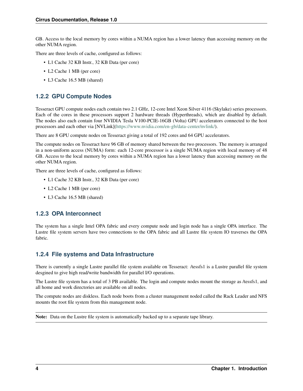GB. Access to the local memory by cores within a NUMA region has a lower latency than accessing memory on the other NUMA region.

There are three levels of cache, configured as follows:

- L1 Cache 32 KB Instr., 32 KB Data (per core)
- L2 Cache 1 MB (per core)
- L3 Cache 16.5 MB (shared)

### **1.2.2 GPU Compute Nodes**

Tesseract GPU compute nodes each contain two 2.1 GHz, 12-core Intel Xeon Silver 4116 (Skylake) series processors. Each of the cores in these processors support 2 hardware threads (Hyperthreads), which are disabled by default. The nodes also each contain four NVIDIA Tesla V100-PCIE-16GB (Volta) GPU accelerators connected to the host processors and each other via [NVLink][\(https://www.nvidia.com/en-gb/data-center/nvlink/\)](https://www.nvidia.com/en-gb/data-center/nvlink/).

There are 8 GPU compute nodes on Tesseract giving a total of 192 cores and 64 GPU accelerators.

The compute nodes on Tesseract have 96 GB of memory shared between the two processors. The memory is arranged in a non-uniform access (NUMA) form: each 12-core processor is a single NUMA region with local memory of 48 GB. Access to the local memory by cores within a NUMA region has a lower latency than accessing memory on the other NUMA region.

There are three levels of cache, configured as follows:

- L1 Cache 32 KB Instr., 32 KB Data (per core)
- L2 Cache 1 MB (per core)
- L3 Cache 16.5 MB (shared)

### **1.2.3 OPA Interconnect**

The system has a single Intel OPA fabric and every compute node and login node has a single OPA interface. The Lustre file system servers have two connections to the OPA fabric and all Lustre file system IO traverses the OPA fabric.

### **1.2.4 File systems and Data Infrastructure**

There is currently a single Lustre parallel file system available on Tesseract: /tessfs1 is a Lustre parallel file system desgined to give high read/write bandwidth for parallel I/O operations.

The Lustre file system has a total of 3 PB available. The login and compute nodes mount the storage as /tessfs1, and all home and work directories are available on all nodes.

The compute nodes are diskless. Each node boots from a cluster management noded called the Rack Leader and NFS mounts the root file system from this management node.

Note: Data on the Lustre file system is automatically backed up to a separate tape library.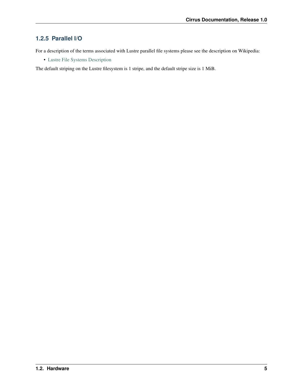### **1.2.5 Parallel I/O**

For a description of the terms associated with Lustre parallel file systems please see the description on Wikipedia:

• [Lustre File Systems Description](https://en.wikipedia.org/wiki/Lustre_(file_system))

The default striping on the Lustre filesystem is 1 stripe, and the default stripe size is 1 MiB.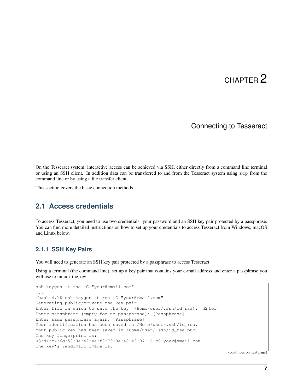### Connecting to Tesseract

<span id="page-10-0"></span>On the Tesseract system, interactive access can be achieved via SSH, either directly from a command line terminal or using an SSH client. In addition data can be transferred to and from the Tesseract system using scp from the command line or by using a file transfer client.

This section covers the basic connection methods.

### <span id="page-10-1"></span>**2.1 Access credentials**

To access Tesseract, you need to use two credentials: your password and an SSH key pair protected by a passphrase. You can find more detailed instructions on how to set up your credentials to access Tesseract from Windows, macOS and Linux below.

#### **2.1.1 SSH Key Pairs**

You will need to generate an SSH key pair protected by a passphrase to access Tesseract.

Using a terminal (the command line), set up a key pair that contains your e-mail address and enter a passphrase you will use to unlock the key:

```
ssh-keygen -t rsa -C "your@email.com"
...
-bash-4.1$ ssh-keygen -t rsa -C "your@email.com"
Generating public/private rsa key pair.
Enter file in which to save the key (/Home/user/.ssh/id_rsa): [Enter]
Enter passphrase (empty for no passphrase): [Passphrase]
Enter same passphrase again: [Passphrase]
Your identification has been saved in /Home/user/.ssh/id_rsa.
Your public key has been saved in /Home/user/.ssh/id_rsa.pub.
The key fingerprint is:
03:d4:c4:6d:58:0a:e2:4a:f8:73:9a:e8:e3:07:16:c8 your@email.com
The key's randomart image is:
```
(continues on next page)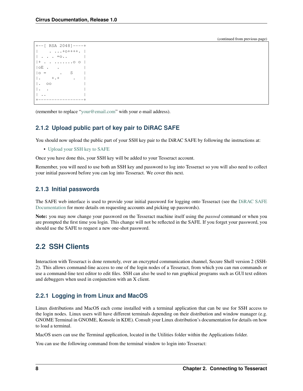(continued from previous page)

```
+--[ RSA 2048]----+
     | . ...+o++++. |
| \cdot | . . . = 0..
|+ . . .......o o |
|OE .
|o = . S
|\cdot + \cdot + \cdot||. 00
|. . |
| \cdot |.
+-----------------+
```
(remember to replace ["your@email.com"](mailto:your@email.com) with your e-mail address).

### **2.1.2 Upload public part of key pair to DiRAC SAFE**

You should now upload the public part of your SSH key pair to the DiRAC SAFE by following the instructions at:

• [Upload your SSH key to SAFE](https://dirac-safe.readthedocs.io/en/latest/safe-guide-users.html#how-to-add-an-ssh-key-to-your-safe-account)

Once you have done this, your SSH key will be added to your Tesseract account.

Remember, you will need to use both an SSH key and password to log into Tesseract so you will also need to collect your initial password before you can log into Tesseract. We cover this next.

### **2.1.3 Initial passwords**

The SAFE web interface is used to provide your initial password for logging onto Tesseract (see the [DiRAC SAFE](https://dirac-safe.readthedocs.io) [Documentation](https://dirac-safe.readthedocs.io) for more details on requesting accounts and picking up passwords).

Note: you may now change your password on the Tesseract machine itself using the *passwd* command or when you are prompted the first time you login. This change will not be reflected in the SAFE. If you forget your password, you should use the SAFE to request a new one-shot password.

# <span id="page-11-0"></span>**2.2 SSH Clients**

Interaction with Tesseract is done remotely, over an encrypted communication channel, Secure Shell version 2 (SSH-2). This allows command-line access to one of the login nodes of a Tesseract, from which you can run commands or use a command-line text editor to edit files. SSH can also be used to run graphical programs such as GUI text editors and debuggers when used in conjunction with an X client.

### **2.2.1 Logging in from Linux and MacOS**

Linux distributions and MacOS each come installed with a terminal application that can be use for SSH access to the login nodes. Linux users will have different terminals depending on their distribution and window manager (e.g. GNOME Terminal in GNOME, Konsole in KDE). Consult your Linux distribution's documentation for details on how to load a terminal.

MacOS users can use the Terminal application, located in the Utilities folder within the Applications folder.

You can use the following command from the terminal window to login into Tesseract: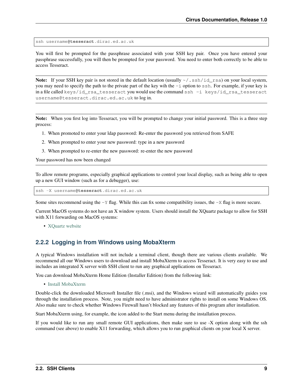ssh username**@tesseract**.dirac.ed.ac.uk

You will first be prompted for the passphrase associated with your SSH key pair. Once you have entered your passphrase successfully, you will then be prompted for your password. You need to enter both correctly to be able to access Tesseract.

**Note:** If your SSH key pair is not stored in the default location (usually  $\sim$  /.ssh/id\_rsa) on your local system, you may need to specify the path to the private part of the key wih the -i option to ssh. For example, if your key is in a file called keys/id\_rsa\_tesseract you would use the command ssh -i keys/id\_rsa\_tesseract username@tesseract.dirac.ed.ac.uk to log in.

Note: When you first log into Tesseract, you will be prompted to change your initial password. This is a three step process:

- 1. When promoted to enter your ldap password: Re-enter the password you retrieved from SAFE
- 2. When prompted to enter your new password: type in a new password
- 3. When prompted to re-enter the new password: re-enter the new password

Your password has now been changed

To allow remote programs, especially graphical applications to control your local display, such as being able to open up a new GUI window (such as for a debugger), use:

ssh -X username**@tesseract**.dirac.ed.ac.uk

Some sites recommend using the  $-Y$  flag. While this can fix some compatibility issues, the  $-X$  flag is more secure.

Current MacOS systems do not have an X window system. Users should install the XQuartz package to allow for SSH with X11 forwarding on MacOS systems:

• [XQuartz website](http://www.xquartz.org/)

#### **2.2.2 Logging in from Windows using MobaXterm**

A typical Windows installation will not include a terminal client, though there are various clients available. We recommend all our Windows users to download and install MobaXterm to access Tesseract. It is very easy to use and includes an integrated X server with SSH client to run any graphical applications on Tesseract.

You can download MobaXterm Home Edition (Installer Edition) from the following link:

• [Install MobaXterm](http://mobaxterm.mobatek.net/download-home-edition.html)

Double-click the downloaded Microsoft Installer file (.msi), and the Windows wizard will automatically guides you through the installation process. Note, you might need to have administrator rights to install on some Windows OS. Also make sure to check whether Windows Firewall hasn't blocked any features of this program after installation.

Start MobaXterm using, for example, the icon added to the Start menu during the installation process.

If you would like to run any small remote GUI applications, then make sure to use -X option along with the ssh command (see above) to enable X11 forwarding, which allows you to run graphical clients on your local X server.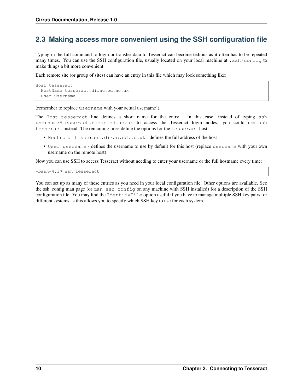## <span id="page-13-0"></span>**2.3 Making access more convenient using the SSH configuration file**

Typing in the full command to login or transfer data to Tesseract can become tedious as it often has to be repeated many times. You can use the SSH configuration file, usually located on your local machine at .ssh/config to make things a bit more convenient.

Each remote site (or group of sites) can have an entry in this file which may look something like:

```
Host tesseract
  HostName tesseract.dirac.ed.ac.uk
  User username
```
(remember to replace username with your actual username!).

The Host tesseract line defines a short name for the entry. In this case, instead of typing ssh username@tesseract.dirac.ed.ac.uk to access the Tesseract login nodes, you could use ssh tesseract instead. The remaining lines define the options for the tesseract host.

- Hostname tesseract.dirac.ed.ac.uk defines the full address of the host
- User username defines the username to use by default for this host (replace username with your own username on the remote host)

Now you can use SSH to access Tesseract without needing to enter your username or the full hostname every time:

-bash-4.1\$ ssh tesseract

You can set up as many of these entries as you need in your local configuration file. Other options are available. See the ssh\_config man page (or man ssh\_config on any machine with SSH installed) for a description of the SSH configuration file. You may find the IdentityFile option useful if you have to manage multiple SSH key pairs for different systems as this allows you to specify which SSH key to use for each system.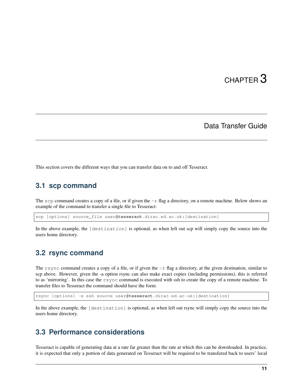### Data Transfer Guide

<span id="page-14-0"></span>This section covers the different ways that you can transfer data on to and off Tesseract.

### <span id="page-14-1"></span>**3.1 scp command**

The scp command creates a copy of a file, or if given the  $-r$  flag a directory, on a remote machine. Below shows an example of the command to transfer a single file to Tesseract:

scp [options] source\_file user**@tesseract**.dirac.ed.ac.uk:[destination]

In the above example, the [destination] is optional, as when left out scp will simply copy the source into the users home directory.

### <span id="page-14-2"></span>**3.2 rsync command**

The rsync command creates a copy of a file, or if given the  $-r$  flag a directory, at the given destination, similar to scp above. However, given the -a option rsync can also make exact copies (including permissions), this is referred to as 'mirroring'. In this case the rsync command is executed with ssh to create the copy of a remote machine. To transfer files to Tesseract the command should have the form:

rsync [options] -e ssh source user**@tesseract**.dirac.ed.ac.uk:[destination]

In the above example, the [destination] is optional, as when left out rsync will simply copy the source into the users home directory.

## <span id="page-14-3"></span>**3.3 Performance considerations**

Tesseract is capable of generating data at a rate far greater than the rate at which this can be downloaded. In practice, it is expected that only a portion of data generated on Tesseract will be required to be transfered back to users' local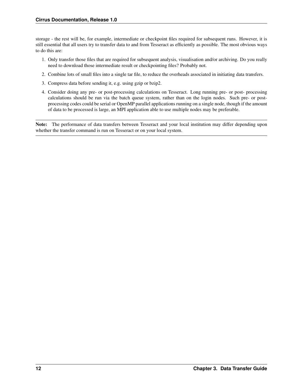storage - the rest will be, for example, intermediate or checkpoint files required for subsequent runs. However, it is still essential that all users try to transfer data to and from Tesseract as efficiently as possible. The most obvious ways to do this are:

- 1. Only transfer those files that are required for subsequent analysis, visualisation and/or archiving. Do you really need to download those intermediate result or checkpointing files? Probably not.
- 2. Combine lots of small files into a single tar file, to reduce the overheads associated in initiating data transfers.
- 3. Compress data before sending it, e.g. using gzip or bzip2.
- 4. Consider doing any pre- or post-processing calculations on Tesseract. Long running pre- or post- processing calculations should be run via the batch queue system, rather than on the login nodes. Such pre- or postprocessing codes could be serial or OpenMP parallel applications running on a single node, though if the amount of data to be processed is large, an MPI application able to use multiple nodes may be preferable.

Note: The performance of data transfers between Tesseract and your local institution may differ depending upon whether the transfer command is run on Tesseract or on your local system.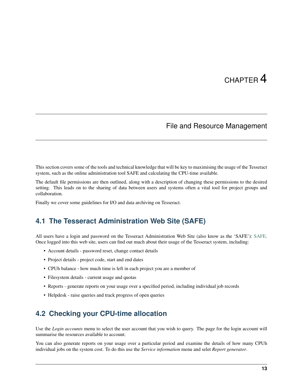# File and Resource Management

<span id="page-16-0"></span>This section covers some of the tools and technical knowledge that will be key to maximising the usage of the Tesseract system, such as the online administration tool SAFE and calculating the CPU-time available.

The default file permissions are then outlined, along with a description of changing these permissions to the desired setting. This leads on to the sharing of data between users and systems often a vital tool for project groups and collaboration.

Finally we cover some guidelines for I/O and data archiving on Tesseract.

### <span id="page-16-1"></span>**4.1 The Tesseract Administration Web Site (SAFE)**

All users have a login and password on the Tesseract Administration Web Site (also know as the 'SAFE'): [SAFE.](https://safe.epcc.ed.ac.uk/dirac/) Once logged into this web site, users can find out much about their usage of the Tesseract system, including:

- Account details password reset, change contact details
- Project details project code, start and end dates
- CPUh balance how much time is left in each project you are a member of
- Filesystem details current usage and quotas
- Reports generate reports on your usage over a specified period, including individual job records
- Helpdesk raise queries and track progress of open queries

## <span id="page-16-2"></span>**4.2 Checking your CPU-time allocation**

Use the *Login accounts* menu to select the user account that you wish to query. The page for the login account will summarise the resources available to account.

You can also generate reports on your usage over a particular period and examine the details of how many CPUh individual jobs on the system cost. To do this use the *Service information* menu and selet *Report generator*.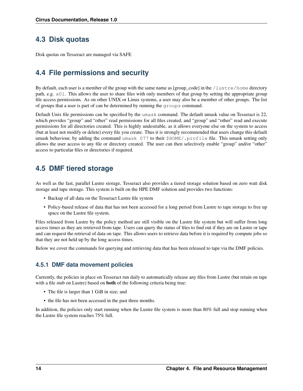# <span id="page-17-0"></span>**4.3 Disk quotas**

Disk quotas on Tesseract are managed via SAFE

# <span id="page-17-1"></span>**4.4 File permissions and security**

By default, each user is a member of the group with the same name as [group\_code] in the /lustre/home directory path, e.g. x01. This allows the user to share files with only members of that group by setting the appropriate group file access permissions. As on other UNIX or Linux systems, a user may also be a member of other groups. The list of groups that a user is part of can be determined by running the groups command.

Default Unix file permissions can be specified by the umask command. The default umask value on Tesseract is 22, which provides "group" and "other" read permissions for all files created, and "group" and "other" read and execute permissions for all directories created. This is highly undesirable, as it allows everyone else on the system to access (but at least not modify or delete) every file you create. Thus it is strongly recommended that users change this default umask behaviour, by adding the command umask 077 to their \$HOME/.profile file. This umask setting only allows the user access to any file or directory created. The user can then selectively enable "group" and/or "other" access to particular files or directories if required.

# <span id="page-17-2"></span>**4.5 DMF tiered storage**

As well as the fast, parallel Lustre storage, Tesseract also provides a tiered storage solution based on zero watt disk storage and tape storage. This system is built on the HPE DMF solution and provides two functions:

- Backup of all data on the Tesseract Lustre file system
- Policy-based release of data that has not been accessed for a long period from Lustre to tape storage to free up space on the Lustre file system.

Files released from Lustre by the policy method are still visible on the Lustre file system but will suffer from long access times as they are retrieved from tape. Users can query the status of files to find out if they are on Lustre or tape and can request the retrieval of data on tape. This allows users to retrieve data before it is required by compute jobs so that they are not held up by the long access times.

Below we cover the commands for querying and retrieving data that has been released to tape via the DMF policies.

### **4.5.1 DMF data movement policies**

Currently, the policies in place on Tesseract run daily to automatically release any files from Lustre (but retain on tape with a file stub on Lustre) based on both of the following criteria being true:

- The file is larger than 1 GiB in size; and
- the file has not been accessed in the past three months.

In addition, the policies only start running when the Lustre file system is more than 80% full and stop running when the Lustre file system reaches 75% full.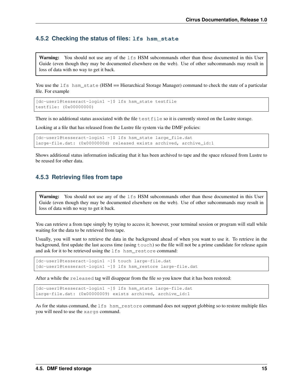#### **4.5.2 Checking the status of files: lfs hsm\_state**

**Warning:** You should not use any of the  $1fs$  HSM subcommands other than those documented in this User Guide (even though they may be documented elsewhere on the web). Use of other subcommands may result in loss of data with no way to get it back.

You use the lfs hsm\_state (HSM == Hierarchical Storage Manager) command to check the state of a particular file. For example

```
[dc-user1@tesseract-login1 ~]$ lfs hsm_state testfile
testfile: (0x00000000)
```
There is no additional status associated with the file testfile so it is currently stored on the Lustre storage.

Looking at a file that has released from the Lustre file system via the DMF policies:

```
[dc-user1@tesseract-login1 ~]$ lfs hsm_state large_file.dat
large-file.dat: (0x0000000d) released exists archived, archive_id:1
```
Shows additional status information indicating that it has been archived to tape and the space released from Lustre to be reused for other data.

#### **4.5.3 Retrieving files from tape**

Warning: You should not use any of the 1fs HSM subcommands other than those documented in this User Guide (even though they may be documented elsewhere on the web). Use of other subcommands may result in loss of data with no way to get it back.

You can retrieve a from tape simply by trying to access it; however, your terminal session or program will stall while waiting for the data to be retrieved from tape.

Usually, you will want to retrieve the data in the background ahead of when you want to use it. To retrieve in the background, first update the last access time (using touch) so the file will not be a prime candidate for release again and ask for it to be retrieved using the  $lfs$  hsm restore command:

[dc-user1@tesseract-login1 ~]\$ touch large-file.dat [dc-user1@tesseract-login1 ~]\$ lfs hsm\_restore large-file.dat

After a while the released tag will disappear from the file so you know that it has been restored:

[dc-user1@tesseract-login1 ~]\$ lfs hsm\_state large-file.dat large-file.dat: (0x00000009) exists archived, archive\_id:1

As for the status command, the lfs hsm\_restore command does not support globbing so to restore multiple files you will need to use the xargs command.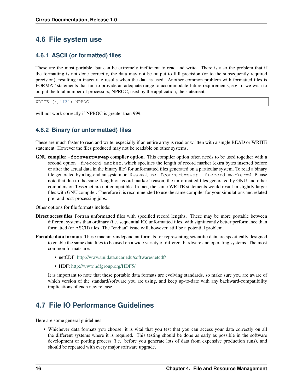# <span id="page-19-0"></span>**4.6 File system use**

### **4.6.1 ASCII (or formatted) files**

These are the most portable, but can be extremely inefficient to read and write. There is also the problem that if the formatting is not done correctly, the data may not be output to full precision (or to the subsequently required precision), resulting in inaccurate results when the data is used. Another common problem with formatted files is FORMAT statements that fail to provide an adequate range to accommodate future requirements, e.g. if we wish to output the total number of processors, NPROC, used by the application, the statement:

WRITE (\*,'I3') NPROC

will not work correctly if NPROC is greater than 999.

### **4.6.2 Binary (or unformatted) files**

These are much faster to read and write, especially if an entire array is read or written with a single READ or WRITE statement. However the files produced may not be readable on other systems.

GNU compiler **-fconvert=swap** compiler option. This compiler option often needs to be used together with a second option -frecord-marker, which specifies the length of record marker (extra bytes inserted before or after the actual data in the binary file) for unformatted files generated on a particular system. To read a binary file generated by a big-endian system on Tesseract, use -fconvert=swap -frecord-marker=4. Please note that due to the same 'length of record marker' reason, the unformatted files generated by GNU and other compilers on Tesseract are not compatible. In fact, the same WRITE statements would result in slightly larger files with GNU compiler. Therefore it is recommended to use the same compiler for your simulations and related pre- and post-processing jobs.

Other options for file formats include:

- Direct access files Fortran unformatted files with specified record lengths. These may be more portable between different systems than ordinary (i.e. sequential IO) unformatted files, with significantly better performance than formatted (or ASCII) files. The "endian" issue will, however, still be a potential problem.
- Portable data formats These machine-independent formats for representing scientific data are specifically designed to enable the same data files to be used on a wide variety of different hardware and operating systems. The most common formats are:
	- netCDF: <http://www.unidata.ucar.edu/software/netcdf/>
	- HDF: <http://www.hdfgroup.org/HDF5/>

It is important to note that these portable data formats are evolving standards, so make sure you are aware of which version of the standard/software you are using, and keep up-to-date with any backward-compatibility implications of each new release.

# <span id="page-19-1"></span>**4.7 File IO Performance Guidelines**

Here are some general guidelines

• Whichever data formats you choose, it is vital that you test that you can access your data correctly on all the different systems where it is required. This testing should be done as early as possible in the software development or porting process (i.e. before you generate lots of data from expensive production runs), and should be repeated with every major software upgrade.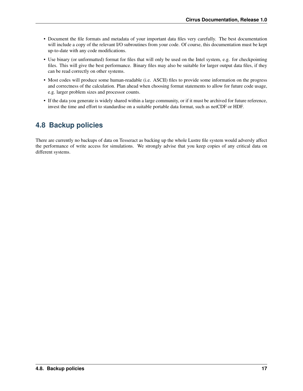- Document the file formats and metadata of your important data files very carefully. The best documentation will include a copy of the relevant I/O subroutines from your code. Of course, this documentation must be kept up-to-date with any code modifications.
- Use binary (or unformatted) format for files that will only be used on the Intel system, e.g. for checkpointing files. This will give the best performance. Binary files may also be suitable for larger output data files, if they can be read correctly on other systems.
- Most codes will produce some human-readable (i.e. ASCII) files to provide some information on the progress and correctness of the calculation. Plan ahead when choosing format statements to allow for future code usage, e.g. larger problem sizes and processor counts.
- If the data you generate is widely shared within a large community, or if it must be archived for future reference, invest the time and effort to standardise on a suitable portable data format, such as netCDF or HDF.

# <span id="page-20-0"></span>**4.8 Backup policies**

There are currently no backups of data on Tesseract as backing up the whole Lustre file system would adversly affect the performance of write access for simulations. We strongly advise that you keep copies of any critical data on different systems.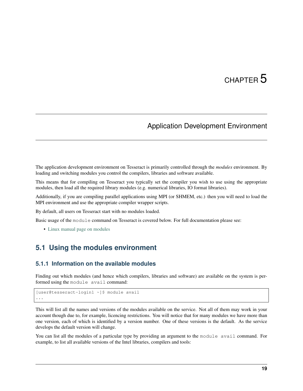# Application Development Environment

<span id="page-22-0"></span>The application development environment on Tesseract is primarily controlled through the *modules* environment. By loading and switching modules you control the compilers, libraries and software available.

This means that for compiling on Tesseract you typically set the compiler you wish to use using the appropriate modules, then load all the required library modules (e.g. numerical libraries, IO format libraries).

Additionally, if you are compiling parallel applications using MPI (or SHMEM, etc.) then you will need to load the MPI environment and use the appropriate compiler wrapper scripts.

By default, all users on Tesseract start with no modules loaded.

Basic usage of the module command on Tesseract is covered below. For full documentation please see:

• [Linux manual page on modules](http://linux.die.net/man/1/module)

### <span id="page-22-1"></span>**5.1 Using the modules environment**

#### **5.1.1 Information on the available modules**

Finding out which modules (and hence which compilers, libraries and software) are available on the system is performed using the module avail command:

```
[user@tesseract-login1 ~]$ module avail
...
```
This will list all the names and versions of the modules available on the service. Not all of them may work in your account though due to, for example, licencing restrictions. You will notice that for many modules we have more than one version, each of which is identified by a version number. One of these versions is the default. As the service develops the default version will change.

You can list all the modules of a particular type by providing an argument to the module avail command. For example, to list all available versions of the Intel libraries, compilers and tools: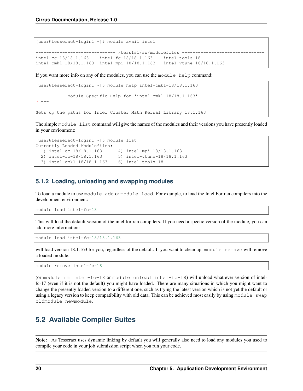[user@tesseract-login1 ~]\$ module avail intel ---------------- /tessfs1/sw/modulefiles ------intel-cc-18/18.1.163 intel-fc-18/18.1.163 intel-tools-18 intel-cmkl-18/18.1.163 intel-mpi-18/18.1.163 intel-vtune-18/18.1.163

If you want more info on any of the modules, you can use the module help command:

```
[user@tesseract-login1 ~]$ module help intel-cmkl-18/18.1.163
  --------- Module Specific Help for 'intel-cmkl-18/18.1.163' ------
\leftrightarrow ---Sets up the paths for Intel Cluster Math Kernal Library 18.1.163
```
The simple module list command will give the names of the modules and their versions you have presently loaded in your envionment:

```
[user@tesseract-login1 ~]$ module list
Currently Loaded Modulefiles:
  1) intel-cc-18/18.1.163 4) intel-mpi-18/18.1.163
  2) intel-fc-18/18.1.163 5) intel-vtune-18/18.1.163
  3) intel-cmkl-18/18.1.163 6) intel-tools-18
```
#### **5.1.2 Loading, unloading and swapping modules**

To load a module to use module add or module load. For example, to load the Intel Fortran compilers into the development environment:

module load intel-fc-18

This will load the default version of the intel fortran compilers. If you need a specfic version of the module, you can add more information:

module load intel-fc-18/18.1.163

will load version 18.1.163 for you, regardless of the default. If you want to clean up, module remove will remove a loaded module:

module remove intel-fc-18

(or module rm intel-fc-18 or module unload intel-fc-18) will unload what ever version of intelfc-17 (even if it is not the default) you might have loaded. There are many situations in which you might want to change the presently loaded version to a different one, such as trying the latest version which is not yet the default or using a legacy version to keep compatibility with old data. This can be achieved most easily by using module swap oldmodule newmodule.

### <span id="page-23-0"></span>**5.2 Available Compiler Suites**

Note: As Tesseract uses dynamic linking by default you will generally also need to load any modules you used to compile your code in your job submission script when you run your code.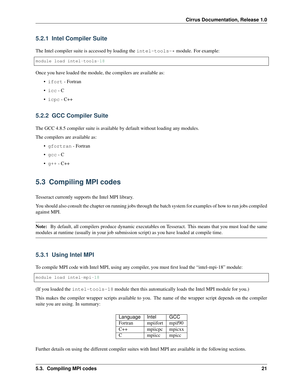#### **5.2.1 Intel Compiler Suite**

The Intel compiler suite is accessed by loading the  $intel-tools-*$  module. For example:

module load intel-tools-18

Once you have loaded the module, the compilers are available as:

- ifort Fortran
- icc C
- $\cdot$  icpc  $\text{-} C++$

#### **5.2.2 GCC Compiler Suite**

The GCC 4.8.5 compiler suite is available by default without loading any modules.

The compilers are available as:

- gfortran Fortran
- gcc C
- $q++ C++$

### <span id="page-24-0"></span>**5.3 Compiling MPI codes**

Tesseract currently supports the Intel MPI library.

You should also consult the chapter on running jobs through the batch system for examples of how to run jobs compiled against MPI.

Note: By default, all compilers produce dynamic executables on Tesseract. This means that you must load the same modules at runtime (usually in your job submission script) as you have loaded at compile time.

#### **5.3.1 Using Intel MPI**

To compile MPI code with Intel MPI, using any compiler, you must first load the "intel-mpi-18" module:

module load intel-mpi-18

(If you loaded the intel-tools-18 module then this automatically loads the Intel MPI module for you.)

This makes the compiler wrapper scripts available to you. The name of the wrapper script depends on the compiler suite you are using. In summary:

| Language | Intel    | GCC    |
|----------|----------|--------|
| Fortran  | mpiifort | mpif90 |
| $C++$    | mpiicpc  | mpicxx |
| C.       | mpiicc   | mpicc  |

Further details on using the different compiler suites with Intel MPI are available in the following sections.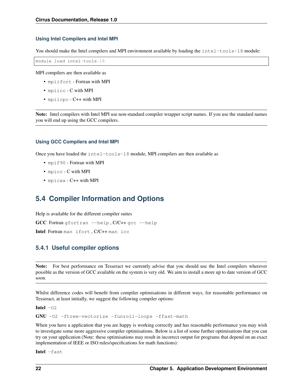#### **Using Intel Compilers and Intel MPI**

You should make the Intel compilers and MPI environment available by loading the  $intel-tools-18$  module:

module load intel-tools-18

MPI compilers are then available as

- mpiifort Fortran with MPI
- mpiicc C with MPI
- mpiicpc C++ with MPI

Note: Intel compilers with Intel MPI use non-standard compiler wrapper script names. If you use the standard names you will end up using the GCC compilers.

#### **Using GCC Compilers and Intel MPI**

Once you have loaded the intel-tools-18 module, MPI compilers are then available as

- mpif90 Fortran with MPI
- mpicc C with MPI
- mpicxx C++ with MPI

### <span id="page-25-0"></span>**5.4 Compiler Information and Options**

Help is available for the different compiler suites

GCC Fortran gfortran --help, C/C++ gcc --help

Intel Fortran man ifort , C/C++ man icc

#### **5.4.1 Useful compiler options**

Note: For best performance on Tesseract we currently advise that you should use the Intel compilers wherever possible as the version of GCC available on the system is very old. We aim to install a more up to date version of GCC soon.

Whilst difference codes will benefit from compiler optimisations in different ways, for reasonable performance on Tesseract, at least initially, we suggest the following compiler options:

Intel  $-02$ 

GNU -O2 -ftree-vectorize -funroll-loops -ffast-math

When you have a application that you are happy is working correctly and has reasonable performance you may wish to investigate some more aggressive compiler optimisations. Below is a list of some further optimisations that you can try on your application (Note: these optimisations may result in incorrect output for programs that depend on an exact implementation of IEEE or ISO rules/specifications for math functions):

Intel -fast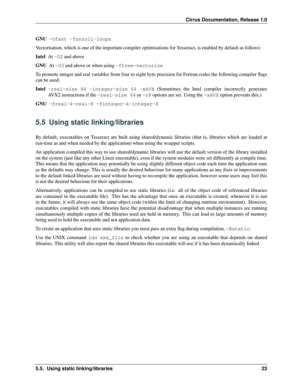GNU -Ofast -funroll-loops

Vectorisation, which is one of the important compiler optimisations for Tesseract, is enabled by default as follows:

**Intel** At  $-02$  and above

GNU At-03 and above or when using -ftree-vectorize

To promote integer and real variables from four to eight byte precision for Fortran codes the following compiler flags can be used:

Intel -real-size 64 -integer-size 64 -xAVX (Sometimes the Intel compiler incorrectly generates AVX2 instructions if the  $-real-size 64$  or  $-r8$  options are set. Using the  $-xAVX$  option prevents this.)

GNU -freal-4-real-8 -finteger-4-integer-8

# <span id="page-26-0"></span>**5.5 Using static linking/libraries**

By default, executables on Tesseract are built using shared/dynamic libraries (that is, libraries which are loaded at run-time as and when needed by the application) when using the wrapper scripts.

An application compiled this way to use shared/dynamic libraries will use the default version of the library installed on the system (just like any other Linux executable), even if the system modules were set differently at compile time. This means that the application may potentially be using slightly different object code each time the application runs as the defaults may change. This is usually the desired behaviour for many applications as any fixes or improvements to the default linked libraries are used without having to recompile the application, however some users may feel this is not the desired behaviour for their applications.

Alternatively, applications can be compiled to use static libraries (i.e. all of the object code of referenced libraries are contained in the executable file). This has the advantage that once an executable is created, whenever it is run in the future, it will always use the same object code (within the limit of changing runtime environemnt). However, executables compiled with static libraries have the potential disadvantage that when multiple instances are running simultaneously multiple copies of the libraries used are held in memory. This can lead to large amounts of memory being used to hold the executable and not application data.

To create an application that uses static libraries you must pass an extra flag during compilation, -Bstatic.

Use the UNIX command 1dd exe\_file to check whether you are using an executable that depends on shared libraries. This utility will also report the shared libraries this executable will use if it has been dynamically linked.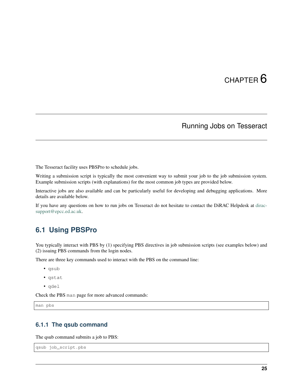# Running Jobs on Tesseract

<span id="page-28-0"></span>The Tesseract facility uses PBSPro to schedule jobs.

Writing a submission script is typically the most convenient way to submit your job to the job submission system. Example submission scripts (with explanations) for the most common job types are provided below.

Interactive jobs are also available and can be particularly useful for developing and debugging applications. More details are available below.

If you have any questions on how to run jobs on Tesseract do not hesitate to contact the DiRAC Helpdesk at [dirac](mailto:dirac-support@epcc.ed.ac.uk)[support@epcc.ed.ac.uk.](mailto:dirac-support@epcc.ed.ac.uk)

## <span id="page-28-1"></span>**6.1 Using PBSPro**

You typically interact with PBS by (1) specifying PBS directives in job submission scripts (see examples below) and (2) issuing PBS commands from the login nodes.

There are three key commands used to interact with the PBS on the command line:

- qsub
- qstat
- qdel

Check the PBS man page for more advanced commands:

man pbs

#### **6.1.1 The qsub command**

The qsub command submits a job to PBS:

```
qsub job_script.pbs
```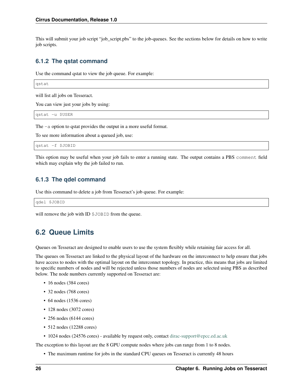This will submit your job script "job\_script.pbs" to the job-queues. See the sections below for details on how to write job scripts.

#### **6.1.2 The qstat command**

Use the command qstat to view the job queue. For example:

qstat

will list all jobs on Tesseract.

You can view just your jobs by using:

qstat -u \$USER

The -a option to qstat provides the output in a more useful format.

To see more information about a queued job, use:

qstat -f \$JOBID

This option may be useful when your job fails to enter a running state. The output contains a PBS comment field which may explain why the job failed to run.

#### **6.1.3 The qdel command**

Use this command to delete a job from Tesseract's job queue. For example:

qdel \$JOBID

will remove the job with ID \$JOBID from the queue.

### <span id="page-29-0"></span>**6.2 Queue Limits**

Queues on Tesseract are designed to enable users to use the system flexibly while retaining fair access for all.

The queues on Tesseract are linked to the physical layout of the hardware on the interconnect to help ensure that jobs have access to nodes with the optimal layout on the interconnet topology. In practice, this means that jobs are limited to specific numbers of nodes and will be rejected unless those numbers of nodes are selected using PBS as described below. The node numbers currently supported on Tesseract are:

- 16 nodes (384 cores)
- 32 nodes (768 cores)
- 64 nodes (1536 cores)
- 128 nodes (3072 cores)
- 256 nodes (6144 cores)
- 512 nodes (12288 cores)
- 1024 nodes (24576 cores) available by request only, contact [dirac-support@epcc.ed.ac.uk](mailto:dirac-support@epcc.ed.ac.uk)

The exception to this layout are the 8 GPU compute nodes where jobs can range from 1 to 8 nodes.

• The maximum runtime for jobs in the standard CPU queues on Tesseract is currently 48 hours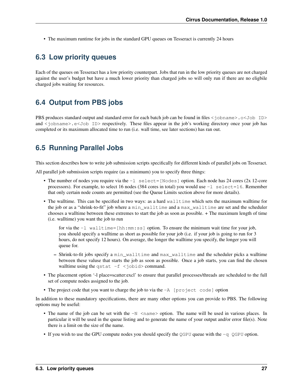• The maximum runtime for jobs in the standard GPU queues on Tesseract is currently 24 hours

### <span id="page-30-0"></span>**6.3 Low priority queues**

Each of the queues on Tesseract has a low priority counterpart. Jobs that run in the low priority queues are not charged against the user's budget but have a much lower priority than charged jobs so will only run if there are no eligbile charged jobs waiting for resources.

## <span id="page-30-1"></span>**6.4 Output from PBS jobs**

PBS produces standard output and standard error for each batch job can be found in files  $\leq$  jobname $\geq$ .  $\circ$  Job ID $\geq$ and  $\le$  jobname > e $\le$  Job ID > respectively. These files appear in the job's working directory once your job has completed or its maximum allocated time to run (i.e. wall time, see later sections) has ran out.

# <span id="page-30-2"></span>**6.5 Running Parallel Jobs**

This section describes how to write job submission scripts specifically for different kinds of parallel jobs on Tesseract.

All parallel job submission scripts require (as a minimum) you to specify three things:

- The number of nodes you require via the  $-1$  select=[Nodes] option. Each node has 24 cores (2x 12-core processors). For example, to select 16 nodes (384 cores in total) you would use -l select=16. Remember that only certain node counts are permitted (see the Queue Limits section above for more details).
- The walltime. This can be specified in two ways: as a hard walltime which sets the maximum walltime for the job or as a "shrink-to-fit" job where a min\_walltime and a max\_walltime are set and the scheduler chooses a walltime between these extremes to start the job as soon as possible. + The maximum length of time (i.e. walltime) you want the job to run

for via the -l walltime=[hh:mm:ss] option. To ensure the minimum wait time for your job, you should specify a walltime as short as possible for your job (i.e. if your job is going to run for 3 hours, do not specify 12 hours). On average, the longer the walltime you specify, the longer you will queue for.

- Shrink-to-fit jobs specify a min\_walltime and max\_walltime and the scheduler picks a walltime between these valuse that starts the job as soon as possible. Once a job starts, you can find the chosen walltime using the qstat  $-f$  <jobid> command.
- The placement option '-l place=scatter:excl' to ensure that parallel processes/threads are scheduled to the full set of compute nodes assigned to the job.
- The project code that you want to charge the job to via the  $-A$  [project code] option

In addition to these mandatory specifications, there are many other options you can provide to PBS. The following options may be useful:

- The name of the job can be set with the  $-N$   $\leq$  name  $>$  option. The name will be used in various places. In particular it will be used in the queue listing and to generate the name of your output and/or error file(s). Note there is a limit on the size of the name.
- If you wish to use the GPU compute nodes you should specify the QGPU queue with the  $-q \text{ QGPU}$  option.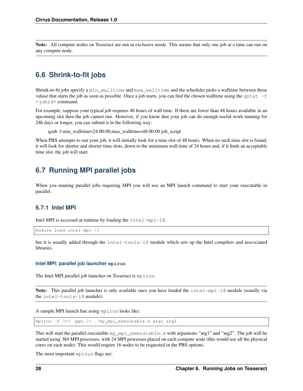Note: All compute nodes on Tesseract are run in exclusive mode. This means that only one job at a time can run on any compute node.

## <span id="page-31-0"></span>**6.6 Shrink-to-fit jobs**

Shrink-to-fit jobs specify a min\_walltime and max\_walltime and the scheduler picks a walltime between these valuse that starts the job as soon as possible. Once a job starts, you can find the chosen wall time using the qstat  $-f$ <jobid> command.

For example, suppose your typical job requires 48 hours of wall time. If there are fewer than 48 hours available in an upcoming slot then the job cannot run. However, if you know that your job can do enough useful work running for 24h days or longer, you can submit it in the following way:

```
qsub -l min_walltime=24:00:00,max_walltime=48:00:00 job_script
```
When PBS attempts to run your job, it will initially look for a time slot of 48 hours. When no such time slot is found, it will look for shorter and shorter time slots, down to the minimum wall time of 24 hours and, if it finds an acceptable time slot, the job will start.

## <span id="page-31-1"></span>**6.7 Running MPI parallel jobs**

When you running parallel jobs requiring MPI you will use an MPI launch command to start your executable in parallel.

#### **6.7.1 Intel MPI**

Intel MPI is accessed at runtime by loading the intel-mpi-18.

```
module load intel-mpi-18
```
but it is usually added through the intel-tools-18 module which sets up the Intel compilers and asscociated libraries.

#### **Intel MPI: parallel job launcher mpirun**

The Intel MPI parallel job launcher on Tesseract is mpirun.

Note: This parallel job launcher is only available once you have loaded the intel-mpi-18 module (usually via the intel-tools-18 module).

A sample MPI launch line using mpirun looks like:

mpirun -n 384 -ppn 24 ./my\_mpi\_executable.x arg1 arg2

This will start the parallel executable my\_mpi\_executable.x with arguments "arg1" and "arg2". The job will be started using 384 MPI processes, with 24 MPI processes placed on each compute node (this would use all the physical cores on each node). This would require 16 nodes to be requested in the PBS options.

The most important mpirun flags are: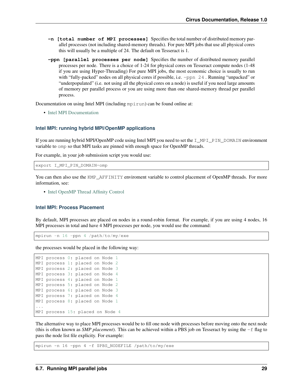- **-n [total number of MPI processes]** Specifies the total number of distributed memory parallel processes (not including shared-memory threads). For pure MPI jobs that use all physical cores this will usually be a multiple of 24. The default on Tesseract is 1.
- **-ppn [parallel processes per node]** Specifies the number of distributed memory parallel processes per node. There is a choice of 1-24 for physical cores on Tesseract compute nodes (1-48 if you are using Hyper-Threading) For pure MPI jobs, the most economic choice is usually to run with "fully-packed" nodes on all physical cores if possible, i.e.  $-ppn 24$ . Running "unpacked" or "underpopulated" (i.e. not using all the physical cores on a node) is useful if you need large amounts of memory per parallel process or you are using more than one shared-memory thread per parallel process.

Documentation on using Intel MPI (including mpirun) can be found online at:

• [Intel MPI Documentation](https://software.intel.com/en-us/articles/intel-mpi-library-documentation)

#### **Intel MPI: running hybrid MPI/OpenMP applications**

If you are running hybrid MPI/OpenMP code using Intel MPI you need to set the I\_MPI\_PIN\_DOMAIN environment variable to omp so that MPI tasks are pinned with enough space for OpenMP threads.

For example, in your job submission script you would use:

```
export I_MPI_PIN_DOMAIN=omp
```
You can then also use the KMP\_AFFINITY enviroment variable to control placement of OpenMP threads. For more information, see:

• [Intel OpenMP Thread Affinity Control](https://software.intel.com/en-us/articles/openmp-thread-affinity-control)

#### **Intel MPI: Process Placement**

By default, MPI processes are placed on nodes in a round-robin format. For example, if you are using 4 nodes, 16 MPI processes in total and have 4 MPI processes per node, you would use the command:

mpirun -n 16 -ppn 4 /path/to/my/exe

the processes would be placed in the following way:

```
MPI process 0: placed on Node 1
MPI process 1: placed on Node 2
MPI process 2: placed on Node 3
MPI process 3: placed on Node 4
MPI process 4: placed on Node 1
MPI process 5: placed on Node 2
MPI process 6: placed on Node 3
MPI process 7: placed on Node 4
MPI process 8: placed on Node 1
...
MPI process 15: placed on Node 4
```
The alternative way to place MPI processes would be to fill one node with processes before moving onto the next node (this is often known as *SMP placement*). This can be achieved within a PBS job on Tesseract by using the  $-f$  flag to pass the node list file explicity. For example:

mpirun -n 16 -ppn 4 -f \$PBS\_NODEFILE /path/to/my/exe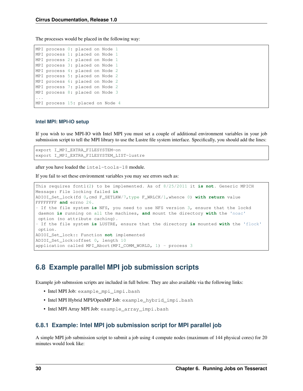The processes would be placed in the following way:

| MPI process 0: placed on Node 1  |  |  |  |
|----------------------------------|--|--|--|
| MPI process 1: placed on Node 1  |  |  |  |
| MPI process 2: placed on Node 1  |  |  |  |
| MPI process 3: placed on Node 1  |  |  |  |
| MPI process 4: placed on Node 2  |  |  |  |
| MPI process 5: placed on Node 2  |  |  |  |
| MPI process 6: placed on Node 2  |  |  |  |
| MPI process 7: placed on Node 2  |  |  |  |
| MPI process 8: placed on Node 3  |  |  |  |
|                                  |  |  |  |
| MPI process 15: placed on Node 4 |  |  |  |

#### **Intel MPI: MPI-IO setup**

If you wish to use MPI-IO with Intel MPI you must set a couple of additional environment variables in your job submission script to tell the MPI library to use the Lustre file system interface. Specifically, you should add the lines:

```
export I_MPI_EXTRA_FILESYSTEM=on
export I_MPI_EXTRA_FILESYSTEM_LIST=lustre
```
after you have loaded the intel-tools-18 module.

If you fail to set these environment variables you may see errors such as:

```
This requires fcntl(2) to be implemented. As of 8/25/2011 it is not. Generic MPICH
Message: File locking failed in
ADIOI_Set_lock(fd 0,cmd F_SETLKW/7,type F_WRLCK/1,whence 0) with return value
FFFFFFFF and errno 26.
- If the file system is NFS, you need to use NFS version 3, ensure that the lockd
daemon is running on all the machines, and mount the directory with the 'noac'
option (no attribute caching).
- If the file system is LUSTRE, ensure that the directory is mounted with the 'flock'
option.
ADIOI_Set_lock:: Function not implemented
ADIOI_Set_lock:offset 0, length 10
application called MPI_Abort(MPI_COMM_WORLD, 1) - process 3
```
### <span id="page-33-0"></span>**6.8 Example parallel MPI job submission scripts**

Example job submssion scripts are included in full below. They are also available via the following links:

- Intel MPI Job: example\_mpi\_impi.bash
- Intel MPI Hybrid MPI/OpenMP Job: example\_hybrid\_impi.bash
- Intel MPI Array MPI Job: example\_array\_impi.bash

#### **6.8.1 Example: Intel MPI job submission script for MPI parallel job**

A simple MPI job submission script to submit a job using 4 compute nodes (maximum of 144 physical cores) for 20 minutes would look like: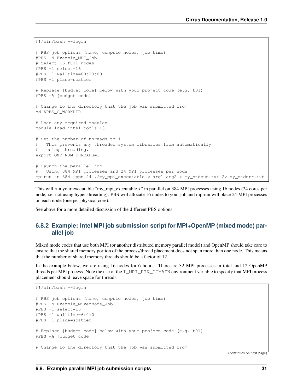```
#!/bin/bash --login
# PBS job options (name, compute nodes, job time)
#PBS -N Example_MPI_Job
# Select 16 full nodes
#PBS -l select=16
#PBS -l walltime=00:20:00
#PBS -l place=scatter
# Replace [budget code] below with your project code (e.g. t01)
#PBS -A [budget code]
# Change to the directory that the job was submitted from
cd $PBS_O_WORKDIR
# Load any required modules
module load intel-tools-18
# Set the number of threads to 1
# This prevents any threaded system libraries from automatically
# using threading.
export OMP_NUM_THREADS=1
# Launch the parallel job
# Using 384 MPI processes and 24 MPI processes per node
mpirun -n 384 -ppn 24 ./my_mpi_executable.x arg1 arg2 > my_stdout.txt 2> my_stderr.txt
```
This will run your executable "my\_mpi\_executable.x" in parallel on 384 MPI processes using 16 nodes (24 cores per node, i.e. not using hyper-threading). PBS will allocate 16 nodes to your job and mpirun will place 24 MPI processes on each node (one per physical core).

See above for a more detailed discussion of the different PBS options

#### **6.8.2 Example: Intel MPI job submission script for MPI+OpenMP (mixed mode) parallel job**

Mixed mode codes that use both MPI (or another distributed memory parallel model) and OpenMP should take care to ensure that the shared memory portion of the process/thread placement does not span more than one node. This means that the number of shared memory threads should be a factor of 12.

In the example below, we are using 16 nodes for 6 hours. There are 32 MPI processes in total and 12 OpenMP threads per MPI process. Note the use of the I\_MPI\_PIN\_DOMAIN environment variable to specify that MPI process placement should leave space for threads.

```
#!/bin/bash --login
# PBS job options (name, compute nodes, job time)
#PBS -N Example_MixedMode_Job
#PBS -l select=16
#PBS -l walltime=6:0:0
#PBS -l place=scatter
# Replace [budget code] below with your project code (e.g. t01)
#PBS -A [budget code]
# Change to the directory that the job was submitted from
```
(continues on next page)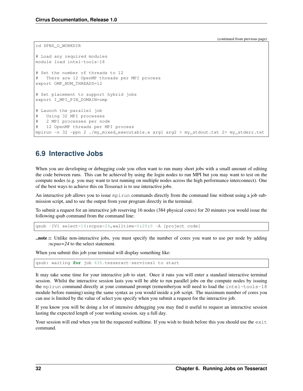(continued from previous page)

```
cd $PBS_O_WORKDIR
# Load any required modules
module load intel-tools-18
# Set the number of threads to 12
  There are 12 OpenMP threads per MPI process
export OMP_NUM_THREADS=12
# Set placement to support hybrid jobs
export I_MPI_PIN_DOMAIN=omp
# Launch the parallel job
   Using 32 MPI processes
# 2 MPI processes per node
# 12 OpenMP threads per MPI process
mpirun -n 32 -ppn 2 ./my_mixed_executable.x arg1 arg2 > my_stdout.txt 2> my_stderr.txt
```
### <span id="page-35-0"></span>**6.9 Interactive Jobs**

When you are developing or debugging code you often want to run many short jobs with a small amount of editing the code between runs. This can be achieved by using the login nodes to run MPI but you may want to test on the compute nodes (e.g. you may want to test running on multiple nodes across the high performance interconnect). One of the best ways to achieve this on Tesseract is to use interactive jobs.

An interactive job allows you to issue mpirun commands directly from the command line without using a job submission script, and to see the output from your program directly in the terminal.

To submit a request for an interactive job reserving 16 nodes (384 physical cores) for 20 minutes you would issue the following qsub command from the command line:

```
qsub -IVl select=16:ncpus=24,walltime=0:20:0 -A [project code]
```
..note :: Unlike non-interactive jobs, you must specify the number of cores you want to use per node by adding *:ncpus=24* to the select statement.

When you submit this job your terminal will display something like:

```
qsub: waiting for job 436.tesseract-services1 to start
```
It may take some time for your interactive job to start. Once it runs you will enter a standard interactive terminal session. Whilst the interactive session lasts you will be able to run parallel jobs on the compute nodes by issuing the mpirun command directly at your command prompt (rememberyou will need to load the intel-tools-18 module before running) using the same syntax as you would inside a job script. The maximum number of cores you can use is limited by the value of select you specify when you submit a request for the interactive job.

If you know you will be doing a lot of intensive debugging you may find it useful to request an interactive session lasting the expected length of your working session, say a full day.

Your session will end when you hit the requested walltime. If you wish to finish before this you should use the  $\epsilon$ xit command.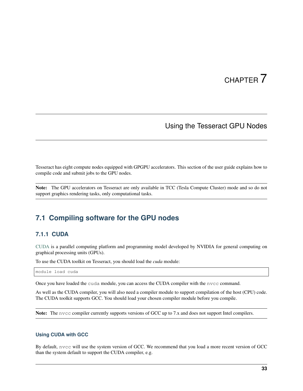### Using the Tesseract GPU Nodes

<span id="page-36-0"></span>Tesseract has eight compute nodes equipped with GPGPU accelerators. This section of the user guide explains how to compile code and submit jobs to the GPU nodes.

Note: The GPU accelerators on Tesseract are only available in TCC (Tesla Compute Cluster) mode and so do not support graphics rendering tasks, only computational tasks.

## <span id="page-36-1"></span>**7.1 Compiling software for the GPU nodes**

#### **7.1.1 CUDA**

[CUDA](https://developer.nvidia.com/cuda-zone) is a parallel computing platform and programming model developed by NVIDIA for general computing on graphical processing units (GPUs).

To use the CUDA toolkit on Tesseract, you should load the *cuda* module:

module load cuda

Once you have loaded the cuda module, you can access the CUDA compiler with the nvcc command.

As well as the CUDA compiler, you will also need a compiler module to support compilation of the host (CPU) code. The CUDA toolkit supports GCC. You should load your chosen compiler module before you compile.

Note: The nvcc compiler currently supports versions of GCC up to 7.x and does not support Intel compilers.

#### **Using CUDA with GCC**

By default, nvcc will use the system version of GCC. We recommend that you load a more recent version of GCC than the system default to support the CUDA compiler, e.g.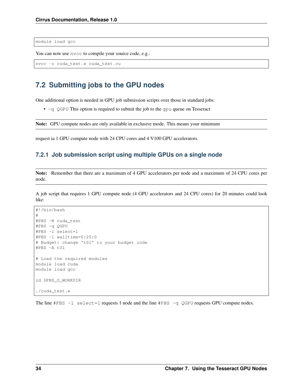module load gcc

You can now use nvcc to compile your source code, e.g.:

```
nvcc -o cuda_test.x cuda_test.cu
```
# <span id="page-37-0"></span>**7.2 Submitting jobs to the GPU nodes**

One additional option is needed in GPU job submission scripts over those in standard jobs:

 $\bullet$  -q QGPU This option is required to submit the job to the gpu queue on Tesseract

Note: GPU compute nodes are only available in exclusive mode. This means your minimum

request ia 1 GPU compute node with 24 CPU cores and 4 V100 GPU accelerators.

#### **7.2.1 Job submission script using multiple GPUs on a single node**

Note: Remember that there are a maximum of 4 GPU accelerators per node and a maximum of 24 CPU cores per node.

A job script that requires 1 GPU compute node (4 GPU accelerators and 24 CPU cores) for 20 minutes could look like:

```
#!/bin/bash
#
#PBS -N cuda_test
#PBS -q QGPU
#PBS -l select=1
#PBS -l walltime=0:20:0
# Budget: change 't01' to your budget code
#PBS -A t01
# Load the required modules
module load cuda
module load gcc
cd $PBS_O_WORKDIR
./cuda_test.x
```
The line  $#PBS -1$  select = 1 requests 1 node and the line  $#PBS -q$  QGPU requests GPU compute nodes.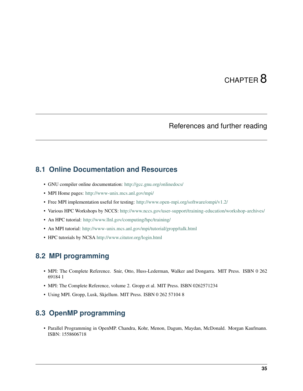## References and further reading

### <span id="page-38-1"></span><span id="page-38-0"></span>**8.1 Online Documentation and Resources**

- GNU compiler online documentation: <http://gcc.gnu.org/onlinedocs/>
- MPI Home pages: <http://www-unix.mcs.anl.gov/mpi/>
- Free MPI implementation useful for testing: <http://www.open-mpi.org/software/ompi/v1.2/>
- Various HPC Workshops by NCCS: <http://www.nccs.gov/user-support/training-education/workshop-archives/>
- An HPC tutorial: <http://www.llnl.gov/computing/hpc/training/>
- An MPI tutorial: <http://www-unix.mcs.anl.gov/mpi/tutorial/gropp/talk.html>
- HPC tutorials by NCSA <http://www.citutor.org/login.html>

# <span id="page-38-2"></span>**8.2 MPI programming**

- MPI: The Complete Reference. Snir, Otto, Huss-Lederman, Walker and Dongarra. MIT Press. ISBN 0 262 69184 1
- MPI: The Complete Reference, volume 2. Gropp et al. MIT Press. ISBN 0262571234
- Using MPI. Gropp, Lusk, Skjellum. MIT Press. ISBN 0 262 57104 8

### <span id="page-38-3"></span>**8.3 OpenMP programming**

• Parallel Programming in OpenMP. Chandra, Kohr, Menon, Dagum, Maydan, McDonald. Morgan Kaufmann. ISBN: 1558606718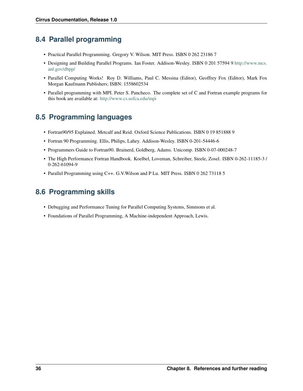# <span id="page-39-0"></span>**8.4 Parallel programming**

- Practical Parallel Programming. Gregory V. Wilson. MIT Press. ISBN 0 262 23186 7
- Designing and Building Parallel Programs. Ian Foster. Addison-Wesley. ISBN 0 201 57594 9 [http://www.mcs.](http://www.mcs.anl.gov/dbpp/) [anl.gov/dbpp/](http://www.mcs.anl.gov/dbpp/)
- Parallel Computing Works! Roy D. Williams, Paul C. Messina (Editor), Geoffrey Fox (Editor), Mark Fox Morgan Kaufmann Publishers; ISBN: 1558602534
- Parallel programming with MPI. Peter S. Pancheco. The complete set of C and Fortran example programs for this book are available at: <http://www.cs.usfca.edu/mpi>

# <span id="page-39-1"></span>**8.5 Programming languages**

- Fortran90/95 Explained. Metcalf and Reid. Oxford Science Publications. ISBN 0 19 851888 9
- Fortran 90 Programming. Ellis, Philips, Lahey. Addison-Wesley. ISBN 0-201-54446-6
- Programmers Guide to Fortran90. Brainerd, Goldberg, Adams. Unicomp. ISBN 0-07-000248-7
- The High Performance Fortran Handbook. Koelbel, Loveman, Schreiber, Steele, Zosel. ISBN 0-262-11185-3 / 0-262-61094-9
- Parallel Programming using C++. G.V.Wilson and P Lu. MIT Press. ISBN 0 262 73118 5

# <span id="page-39-2"></span>**8.6 Programming skills**

- Debugging and Performance Tuning for Parallel Computing Systems, Simmons et al.
- Foundations of Parallel Programming, A Machine-independent Approach, Lewis.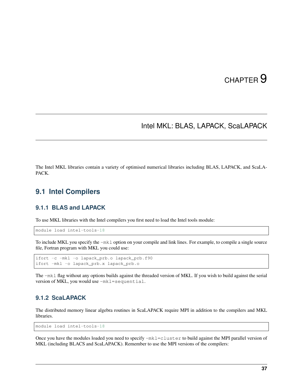## Intel MKL: BLAS, LAPACK, ScaLAPACK

<span id="page-40-0"></span>The Intel MKL libraries contain a variety of optimised numerical libraries including BLAS, LAPACK, and ScaLA-PACK.

### <span id="page-40-1"></span>**9.1 Intel Compilers**

#### **9.1.1 BLAS and LAPACK**

To use MKL libraries with the Intel compilers you first need to load the Intel tools module:

module load intel-tools-18

To include MKL you specify the -mkl option on your compile and link lines. For example, to compile a single source file, Fortran program with MKL you could use:

```
ifort -c -mkl -o lapack_prb.o lapack_prb.f90
ifort -mkl -o lapack_prb.x lapack_prb.o
```
The -mkl flag without any options builds against the threaded version of MKL. If you wish to build against the serial version of MKL, you would use -mkl=sequential.

#### **9.1.2 ScaLAPACK**

The distributed memory linear algebra routines in ScaLAPACK require MPI in addition to the compilers and MKL libraries.

module load intel-tools-18

Once you have the modules loaded you need to specify -mkl=cluster to build against the MPI parallel version of MKL (including BLACS and ScaLAPACK). Remember to use the MPI versions of the compilers: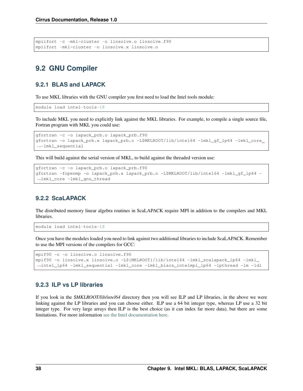```
mpiifort -c -mkl=cluster -o linsolve.o linsolve.f90
mpiifort -mkl=cluster -o linsolve.x linsolve.o
```
# <span id="page-41-0"></span>**9.2 GNU Compiler**

#### **9.2.1 BLAS and LAPACK**

To use MKL libraries with the GNU compiler you first need to load the Intel tools module:

module load intel-tools-18

To include MKL you need to explicitly link against the MKL libraries. For example, to compile a single source file, Fortran program with MKL you could use:

```
gfortran -c -o lapack_prb.o lapack_prb.f90
gfortran -o lapack_prb.x lapack_prb.o -L$MKLROOT/lib/intel64 -lmkl_gf_lp64 -lmkl_core
˓→-lmkl_sequential
```
This will build against the serial version of MKL, to build against the threaded version use:

```
gfortran -c -o lapack_prb.o lapack_prb.f90
gfortran -fopenmp -o lapack_prb.x lapack_prb.o -L$MKLROOT/lib/intel64 -lmkl_gf_lp64 -
˓→lmkl_core -lmkl_gnu_thread
```
### **9.2.2 ScaLAPACK**

The distributed memory linear algebra routines in ScaLAPACK require MPI in addition to the compilers and MKL libraries.

module load intel-tools-18

Once you have the modules loaded you need to link against two additional libraries to include ScaLAPACK. Remember to use the MPI versions of the compilers for GCC:

```
mpif90 -c -o linsolve.o linsolve.f90
mpif90 -o linsolve.x linsolve.o -L${MKLROOT}/lib/intel64 -lmkl_scalapack_lp64 -lmkl_
˓→intel_lp64 -lmkl_sequential -lmkl_core -lmkl_blacs_intelmpi_lp64 -lpthread -lm -ldl
```
#### **9.2.3 ILP vs LP libraries**

If you look in the *\$MKLROOT/lib/intel64* directory then you will see ILP and LP libraries, in the above we were linking against the LP libraries and you can choose either. ILP use a 64 bit integer type, whereas LP use a 32 bit integer type. For very large arrays then ILP is the best choice (as it can index far more data), but there are some limitations. For more information [see the Intel documentation here.](https://software.intel.com/en-us/node/528682)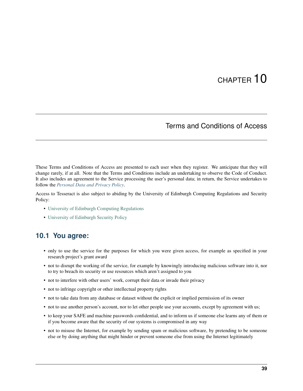### Terms and Conditions of Access

<span id="page-42-0"></span>These Terms and Conditions of Access are presented to each user when they register. We anticipate that they will change rarely, if at all. Note that the Terms and Conditions include an undertaking to observe the Code of Conduct. It also includes an agreement to the Service processing the user's personal data; in return, the Service undertakes to follow the *[Personal Data and Privacy Policy](#page-44-0)*.

Access to Tesseract is also subject to abiding by the University of Edinburgh Computing Regulations and Security Policy:

- [University of Edinburgh Computing Regulations](http://www.ed.ac.uk/information-services/about/policies-and-regulations/computing-regulations)
- [University of Edinburgh Security Policy](http://www.ed.ac.uk/information-services/about/policies-and-regulations/security-policies/security-policy)

### <span id="page-42-1"></span>**10.1 You agree:**

- only to use the service for the purposes for which you were given access, for example as specified in your research project's grant award
- not to disrupt the working of the service, for example by knowingly introducing malicious software into it, nor to try to breach its security or use resources which aren't assigned to you
- not to interfere with other users' work, corrupt their data or invade their privacy
- not to infringe copyright or other intellectual property rights
- not to take data from any database or dataset without the explicit or implied permission of its owner
- not to use another person's account, nor to let other people use your accounts, except by agreement with us;
- to keep your SAFE and machine passwords confidential, and to inform us if someone else learns any of them or if you become aware that the security of our systems is compromised in any way
- not to misuse the Internet, for example by sending spam or malicious software, by pretending to be someone else or by doing anything that might hinder or prevent someone else from using the Internet legitimately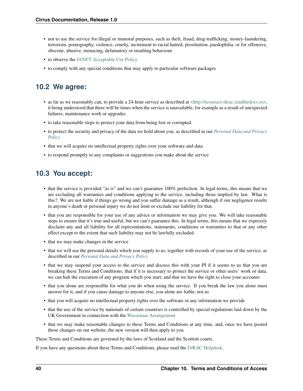- not to use the service for illegal or immoral purposes, such as theft, fraud, drug-trafficking, money-laundering, terrorism, pornography, violence, cruelty, incitement to racial hatred, prostitution, paedophilia, or for offensive, obscene, abusive, menacing, defamatory or insulting behaviour
- to observe the [JANET Acceptable Use Policy](https://community.ja.net/library/acceptable-use-policy)
- to comply with any special conditions that may apply to particular software packages

# <span id="page-43-0"></span>**10.2 We agree:**

- as far as we reasonably can, to provide a 24-hour service as described at [<http://tesseract-dirac.readthedocs.io>,](http://tesseract-dirac.readthedocs.io/) it being understood that there will be times when the service is unavailable, for example as a result of unexpected failures, maintenance work or upgrades
- to take reasonable steps to protect your data from being lost or corrupted.
- to protect the security and privacy of the data we hold about you, as described in our *[Personal Data and Privacy](#page-44-0) [Policy](#page-44-0)*
- that we will acquire no intellectual property rights over your software and data
- to respond promptly to any complaints or suggestions you make about the service

# <span id="page-43-1"></span>**10.3 You accept:**

- that the service is provided "as is" and we can't guarantee 100% perfection. In legal terms, this means that we are excluding all warranties and conditions applying to the service, including those implied by law. What is this?. We are not liable if things go wrong and you suffer damage as a result, although if our negligence results in anyone's death or personal injury we do not limit or exclude our liability for that.
- that you are responsible for your use of any advice or information we may give you. We will take reasonable steps to ensure that it's true and useful, but we can't guarantee this. In legal terms, this means that we expressly disclaim any and all liability for all representations, statements, conditions or warranties to that or any other effect except to the extent that such liability may not be lawfully excluded.
- that we may make changes in the service
- that we will use the personal details which you supply to us, together with records of your use of the service, as described in our *[Personal Data and Privacy Policy](#page-44-0)*
- that we may suspend your access to the service and discuss this with your PI if it seems to us that you are breaking these Terms and Conditions; that if it is necessary to protect the service or other users' work or data, we can halt the execution of any program which you start; and that we have the right to close your accounts
- that you alone are responsible for what you do when using the service. If you break the law you alone must answer for it, and if you cause damage to anyone else, you alone are liable, not us
- that you will acquire no intellectual property rights over the software or any information we provide
- that the use of the service by nationals of certain countries is controlled by special regulations laid down by the UK Government in connection with the [Wassenaar Arrangement](http://www.wassenaar.org/index.html)
- that we may make reasonable changes to these Terms and Conditions at any time, and, once we have posted those changes on our website, the new version will then apply to you

These Terms and Conditions are governed by the laws of Scotland and the Scottish courts.

If you have any questions about these Terms and Conditions, please mail the [DiRAC Helpdesk.](mailto:dirac-support@epcc.ed.ac.uk)